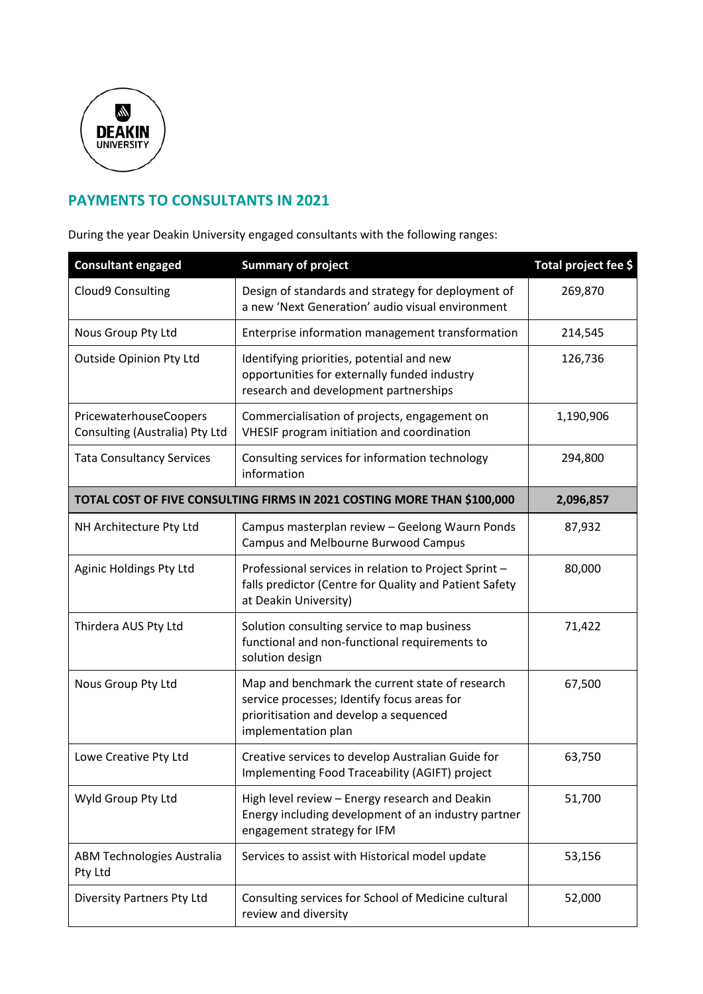

## **PAYMENTS TO CONSULTANTS IN 2021**

During the year Deakin University engaged consultants with the following ranges:

| <b>Consultant engaged</b>                                               | <b>Summary of project</b>                                                                                                                                       | Total project fee \$ |
|-------------------------------------------------------------------------|-----------------------------------------------------------------------------------------------------------------------------------------------------------------|----------------------|
| Cloud9 Consulting                                                       | Design of standards and strategy for deployment of<br>a new 'Next Generation' audio visual environment                                                          | 269,870              |
| Nous Group Pty Ltd                                                      | Enterprise information management transformation                                                                                                                | 214,545              |
| Outside Opinion Pty Ltd                                                 | Identifying priorities, potential and new<br>opportunities for externally funded industry<br>research and development partnerships                              | 126,736              |
| PricewaterhouseCoopers<br>Consulting (Australia) Pty Ltd                | Commercialisation of projects, engagement on<br>VHESIF program initiation and coordination                                                                      | 1,190,906            |
| <b>Tata Consultancy Services</b>                                        | Consulting services for information technology<br>information                                                                                                   | 294,800              |
| TOTAL COST OF FIVE CONSULTING FIRMS IN 2021 COSTING MORE THAN \$100,000 | 2,096,857                                                                                                                                                       |                      |
| NH Architecture Pty Ltd                                                 | Campus masterplan review - Geelong Waurn Ponds<br>Campus and Melbourne Burwood Campus                                                                           | 87,932               |
| Aginic Holdings Pty Ltd                                                 | Professional services in relation to Project Sprint -<br>falls predictor (Centre for Quality and Patient Safety<br>at Deakin University)                        | 80,000               |
| Thirdera AUS Pty Ltd                                                    | Solution consulting service to map business<br>functional and non-functional requirements to<br>solution design                                                 | 71,422               |
| Nous Group Pty Ltd                                                      | Map and benchmark the current state of research<br>service processes; Identify focus areas for<br>prioritisation and develop a sequenced<br>implementation plan | 67,500               |
| Lowe Creative Pty Ltd                                                   | Creative services to develop Australian Guide for<br>Implementing Food Traceability (AGIFT) project                                                             | 63,750               |
| Wyld Group Pty Ltd                                                      | High level review - Energy research and Deakin<br>Energy including development of an industry partner<br>engagement strategy for IFM                            | 51,700               |
| <b>ABM Technologies Australia</b><br>Pty Ltd                            | Services to assist with Historical model update                                                                                                                 | 53,156               |
| Diversity Partners Pty Ltd                                              | Consulting services for School of Medicine cultural<br>review and diversity                                                                                     | 52,000               |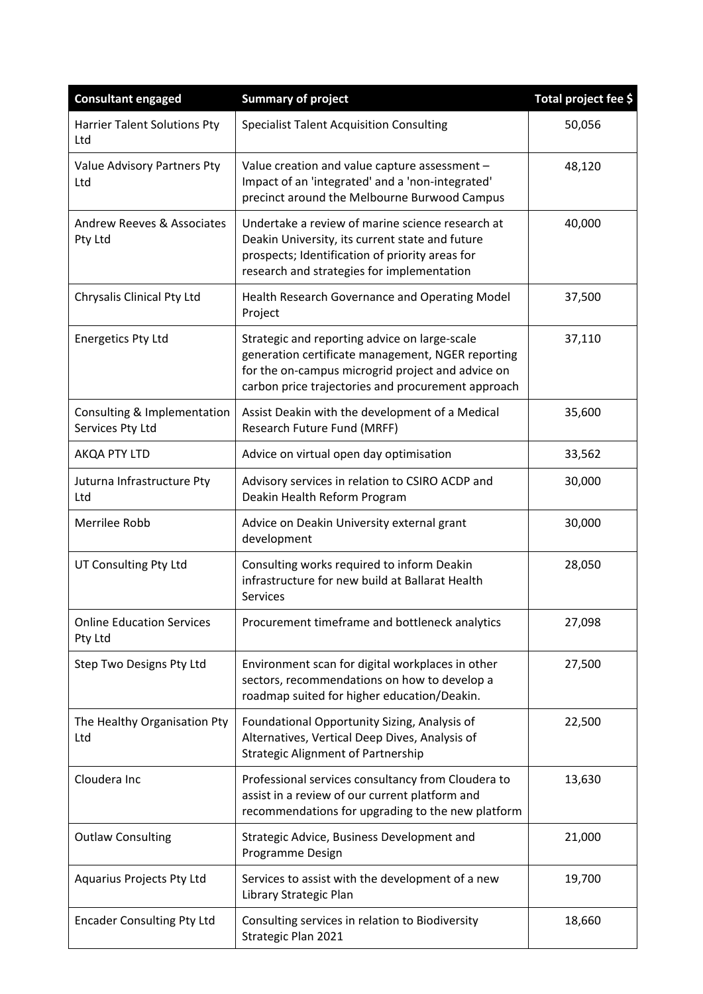| <b>Consultant engaged</b>                        | <b>Summary of project</b>                                                                                                                                                                                     | Total project fee \$ |
|--------------------------------------------------|---------------------------------------------------------------------------------------------------------------------------------------------------------------------------------------------------------------|----------------------|
| <b>Harrier Talent Solutions Pty</b><br>Ltd       | <b>Specialist Talent Acquisition Consulting</b>                                                                                                                                                               | 50,056               |
| Value Advisory Partners Pty<br>Ltd               | Value creation and value capture assessment -<br>Impact of an 'integrated' and a 'non-integrated'<br>precinct around the Melbourne Burwood Campus                                                             | 48,120               |
| <b>Andrew Reeves &amp; Associates</b><br>Pty Ltd | Undertake a review of marine science research at<br>Deakin University, its current state and future<br>prospects; Identification of priority areas for<br>research and strategies for implementation          | 40,000               |
| Chrysalis Clinical Pty Ltd                       | Health Research Governance and Operating Model<br>Project                                                                                                                                                     | 37,500               |
| <b>Energetics Pty Ltd</b>                        | Strategic and reporting advice on large-scale<br>generation certificate management, NGER reporting<br>for the on-campus microgrid project and advice on<br>carbon price trajectories and procurement approach | 37,110               |
| Consulting & Implementation<br>Services Pty Ltd  | Assist Deakin with the development of a Medical<br>Research Future Fund (MRFF)                                                                                                                                | 35,600               |
| AKQA PTY LTD                                     | Advice on virtual open day optimisation                                                                                                                                                                       | 33,562               |
| Juturna Infrastructure Pty<br>Ltd                | Advisory services in relation to CSIRO ACDP and<br>Deakin Health Reform Program                                                                                                                               | 30,000               |
| Merrilee Robb                                    | Advice on Deakin University external grant<br>development                                                                                                                                                     | 30,000               |
| UT Consulting Pty Ltd                            | Consulting works required to inform Deakin<br>infrastructure for new build at Ballarat Health<br><b>Services</b>                                                                                              | 28,050               |
| <b>Online Education Services</b><br>Pty Ltd      | Procurement timeframe and bottleneck analytics                                                                                                                                                                | 27,098               |
| Step Two Designs Pty Ltd                         | Environment scan for digital workplaces in other<br>sectors, recommendations on how to develop a<br>roadmap suited for higher education/Deakin.                                                               | 27,500               |
| The Healthy Organisation Pty<br>Ltd              | Foundational Opportunity Sizing, Analysis of<br>Alternatives, Vertical Deep Dives, Analysis of<br><b>Strategic Alignment of Partnership</b>                                                                   | 22,500               |
| Cloudera Inc                                     | Professional services consultancy from Cloudera to<br>assist in a review of our current platform and<br>recommendations for upgrading to the new platform                                                     | 13,630               |
| <b>Outlaw Consulting</b>                         | Strategic Advice, Business Development and<br>Programme Design                                                                                                                                                | 21,000               |
| Aquarius Projects Pty Ltd                        | Services to assist with the development of a new<br>Library Strategic Plan                                                                                                                                    | 19,700               |
| <b>Encader Consulting Pty Ltd</b>                | Consulting services in relation to Biodiversity<br>Strategic Plan 2021                                                                                                                                        | 18,660               |